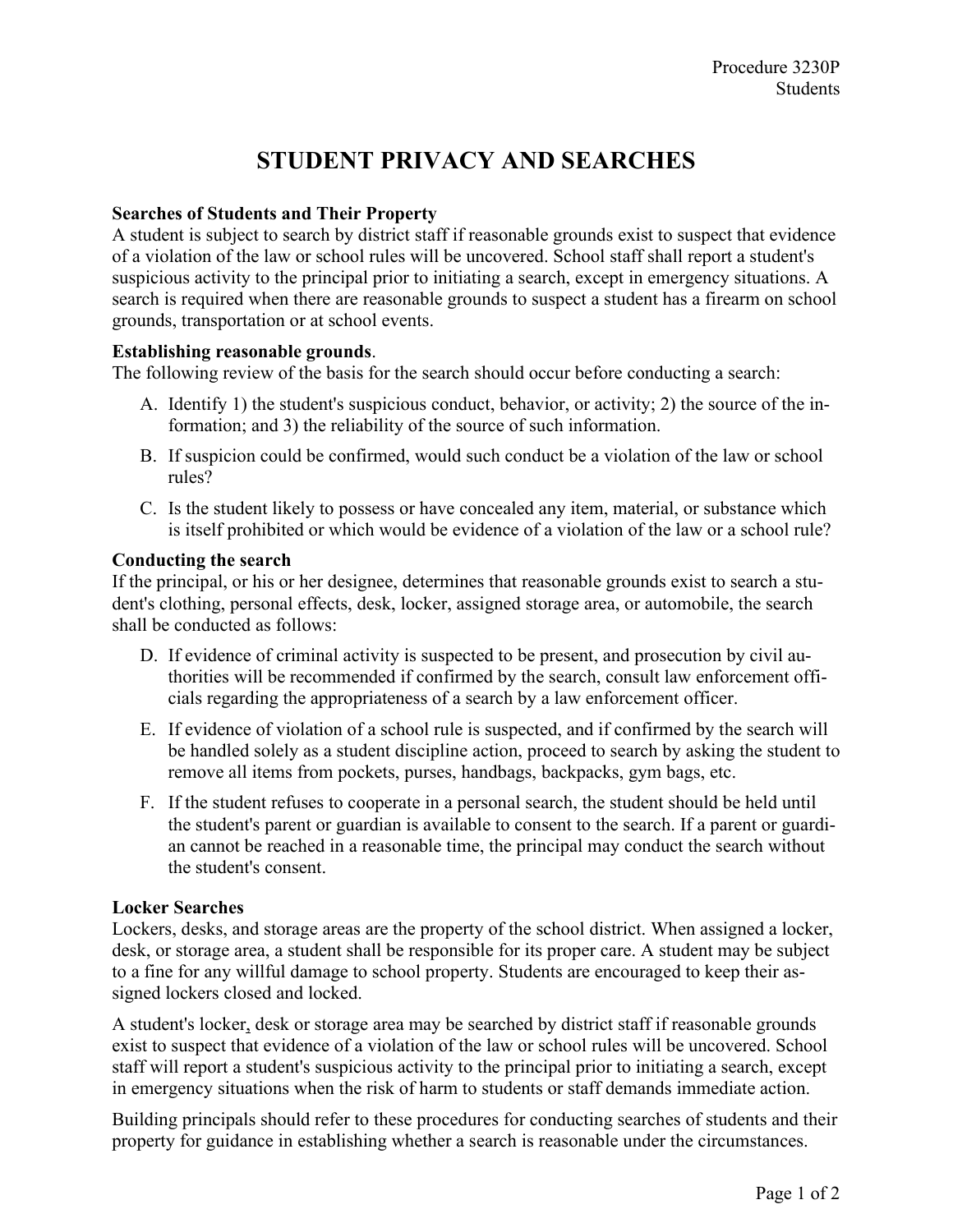# **STUDENT PRIVACY AND SEARCHES**

## **Searches of Students and Their Property**

A student is subject to search by district staff if reasonable grounds exist to suspect that evidence of a violation of the law or school rules will be uncovered. School staff shall report a student's suspicious activity to the principal prior to initiating a search, except in emergency situations. A search is required when there are reasonable grounds to suspect a student has a firearm on school grounds, transportation or at school events.

### **Establishing reasonable grounds**.

The following review of the basis for the search should occur before conducting a search:

- A. Identify 1) the student's suspicious conduct, behavior, or activity; 2) the source of the information; and 3) the reliability of the source of such information.
- B. If suspicion could be confirmed, would such conduct be a violation of the law or school rules?
- C. Is the student likely to possess or have concealed any item, material, or substance which is itself prohibited or which would be evidence of a violation of the law or a school rule?

### **Conducting the search**

If the principal, or his or her designee, determines that reasonable grounds exist to search a student's clothing, personal effects, desk, locker, assigned storage area, or automobile, the search shall be conducted as follows:

- D. If evidence of criminal activity is suspected to be present, and prosecution by civil authorities will be recommended if confirmed by the search, consult law enforcement officials regarding the appropriateness of a search by a law enforcement officer.
- E. If evidence of violation of a school rule is suspected, and if confirmed by the search will be handled solely as a student discipline action, proceed to search by asking the student to remove all items from pockets, purses, handbags, backpacks, gym bags, etc.
- F. If the student refuses to cooperate in a personal search, the student should be held until the student's parent or guardian is available to consent to the search. If a parent or guardian cannot be reached in a reasonable time, the principal may conduct the search without the student's consent.

### **Locker Searches**

Lockers, desks, and storage areas are the property of the school district. When assigned a locker, desk, or storage area, a student shall be responsible for its proper care. A student may be subject to a fine for any willful damage to school property. Students are encouraged to keep their assigned lockers closed and locked.

A student's locker, desk or storage area may be searched by district staff if reasonable grounds exist to suspect that evidence of a violation of the law or school rules will be uncovered. School staff will report a student's suspicious activity to the principal prior to initiating a search, except in emergency situations when the risk of harm to students or staff demands immediate action.

Building principals should refer to these procedures for conducting searches of students and their property for guidance in establishing whether a search is reasonable under the circumstances.